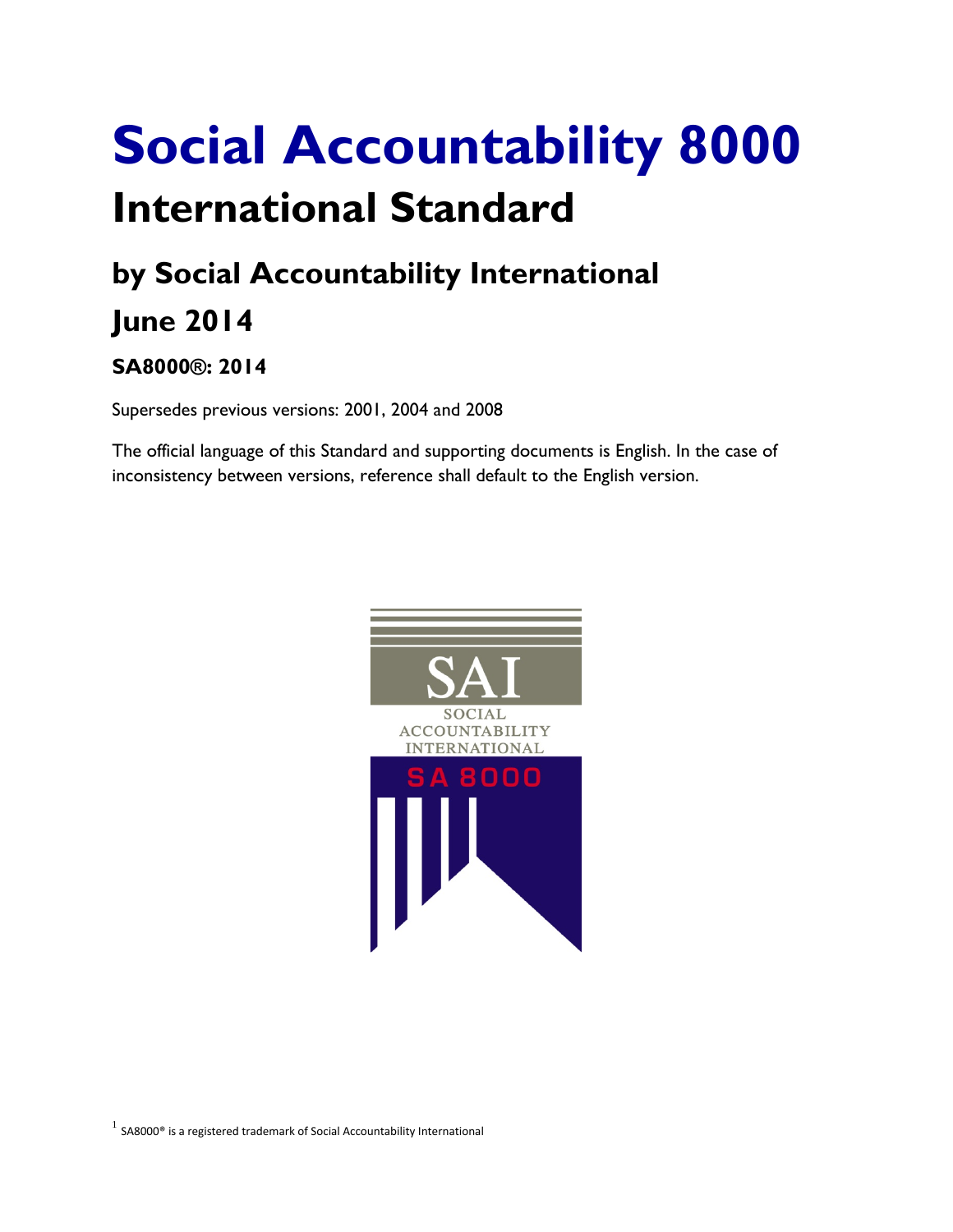# **Social Accountability 8000 International Standard**

## **by Social Accountability International June 2014**

### **SA8000®: 2014**

Supersedes previous versions: 2001, 2004 and 2008

The official language of this Standard and supporting documents is English. In the case of inconsistency between versions, reference shall default to the English version.

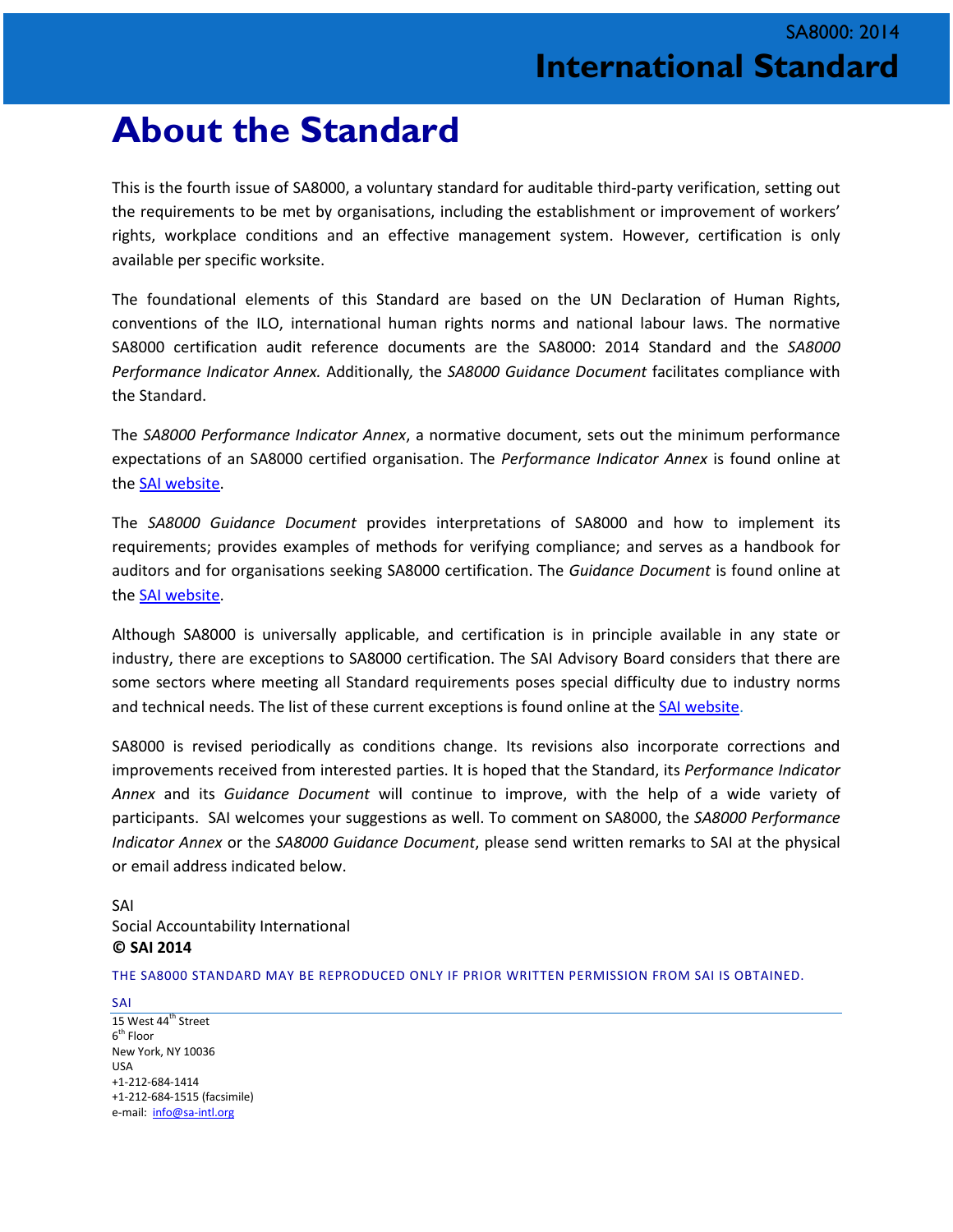### **About the Standard**

This is the fourth issue of SA8000, a voluntary standard for auditable third-party verification, setting out the requirements to be met by organisations, including the establishment or improvement of workers' rights, workplace conditions and an effective management system. However, certification is only available per specific worksite.

The foundational elements of this Standard are based on the UN Declaration of Human Rights, conventions of the ILO, international human rights norms and national labour laws. The normative SA8000 certification audit reference documents are the SA8000: 2014 Standard and the *SA8000 Performance Indicator Annex.* Additionally*,* the *SA8000 Guidance Document* facilitates compliance with the Standard.

The *SA8000 Performance Indicator Annex*, a normative document, sets out the minimum performance expectations of an SA8000 certified organisation. The *Performance Indicator Annex* is found online at the [SAI website.](http://www.sa-intl.org/index.cfm?fuseaction=Page.ViewPage&pageId=937)

The *SA8000 Guidance Document* provides interpretations of SA8000 and how to implement its requirements; provides examples of methods for verifying compliance; and serves as a handbook for auditors and for organisations seeking SA8000 certification. The *Guidance Document* is found online at the [SAI website.](http://www.sa-intl.org/index.cfm?fuseaction=Page.ViewPage&pageId=937)

Although SA8000 is universally applicable, and certification is in principle available in any state or industry, there are exceptions to SA8000 certification. The SAI Advisory Board considers that there are some sectors where meeting all Standard requirements poses special difficulty due to industry norms and technical needs. The list of these current exceptions is found online at th[e SAI website.](http://www.sa-intl.org/index.cfm?fuseaction=Page.ViewPage&pageId=937)

SA8000 is revised periodically as conditions change. Its revisions also incorporate corrections and improvements received from interested parties. It is hoped that the Standard, its *Performance Indicator Annex* and its *Guidance Document* will continue to improve, with the help of a wide variety of participants. SAI welcomes your suggestions as well. To comment on SA8000, the *SA8000 Performance Indicator Annex* or the *SA8000 Guidance Document*, please send written remarks to SAI at the physical or email address indicated below.

#### SAI Social Accountability International **© SAI 2014**

THE SA8000 STANDARD MAY BE REPRODUCED ONLY IF PRIOR WRITTEN PERMISSION FROM SAI IS OBTAINED.

SAI 15 West 44<sup>th</sup> Street  $6<sup>th</sup>$  Floor New York, NY 10036 USA +1-212-684-1414 +1-212-684-1515 (facsimile) e-mail: [info@sa-intl.org](mailto:info@sa-intl.org)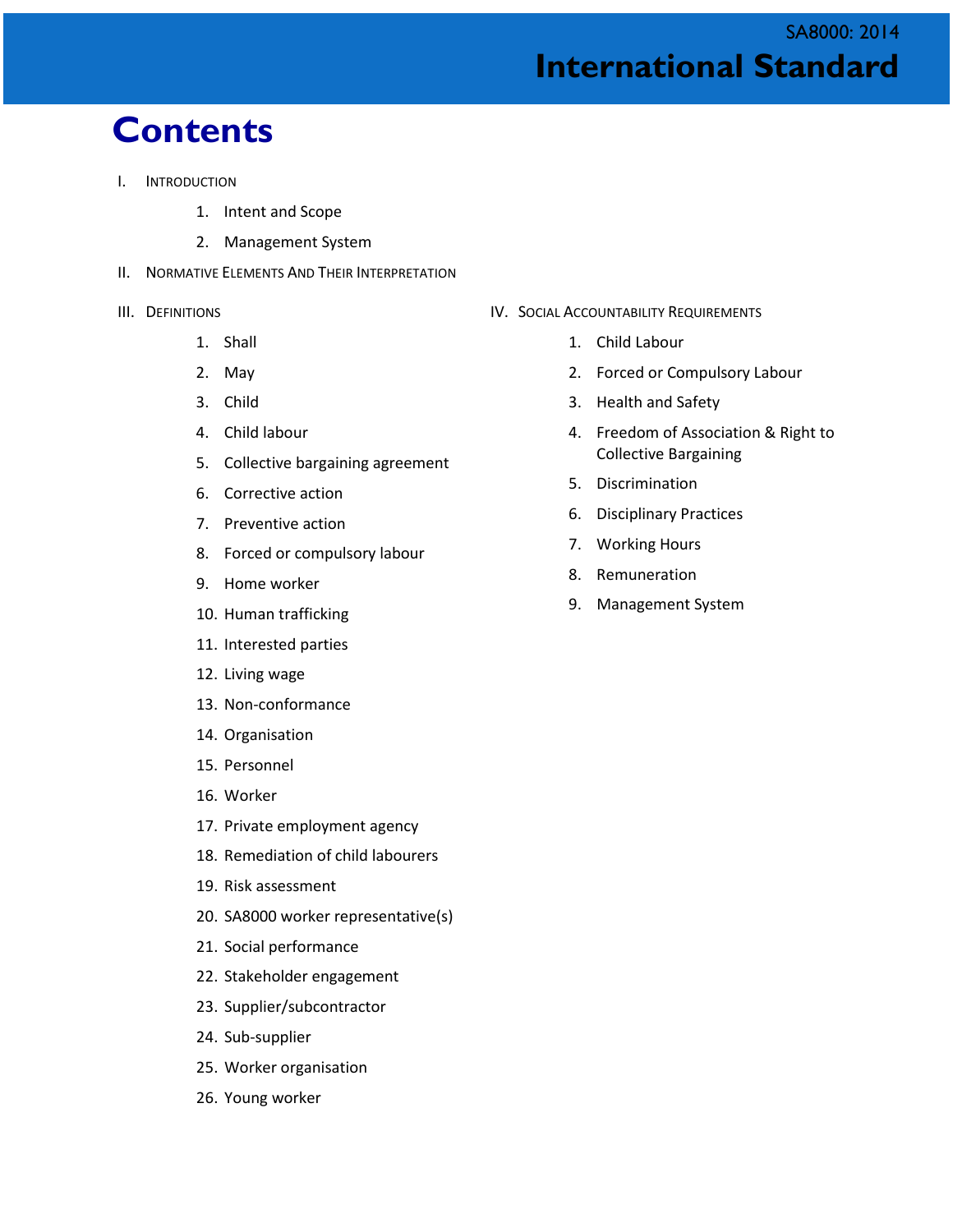### SA8000: 2014 **International Standard**

### **Contents**

- I. INTRODUCTION
	- 1. Intent and Scope
	- 2. Management System
- II. NORMATIVE ELEMENTS AND THEIR INTERPRETATION
- III. DEFINITIONS
	- 1. Shall
	- 2. May
	- 3. Child
	- 4. Child labour
	- 5. Collective bargaining agreement
	- 6. Corrective action
	- 7. Preventive action
	- 8. Forced or compulsory labour
	- 9. Home worker
	- 10. Human trafficking
	- 11. Interested parties
	- 12. Living wage
	- 13. Non-conformance
	- 14. Organisation
	- 15. Personnel
	- 16. Worker
	- 17. Private employment agency
	- 18. Remediation of child labourers
	- 19. Risk assessment
	- 20. SA8000 worker representative(s)
	- 21. Social performance
	- 22. Stakeholder engagement
	- 23. Supplier/subcontractor
	- 24. Sub-supplier
	- 25. Worker organisation
	- 26. Young worker
- IV. SOCIAL ACCOUNTABILITY REQUIREMENTS
	- 1. Child Labour
	- 2. Forced or Compulsory Labour
	- 3. Health and Safety
	- 4. Freedom of Association & Right to Collective Bargaining
	- 5. Discrimination
	- 6. Disciplinary Practices
	- 7. Working Hours
	- 8. Remuneration
	- 9. Management System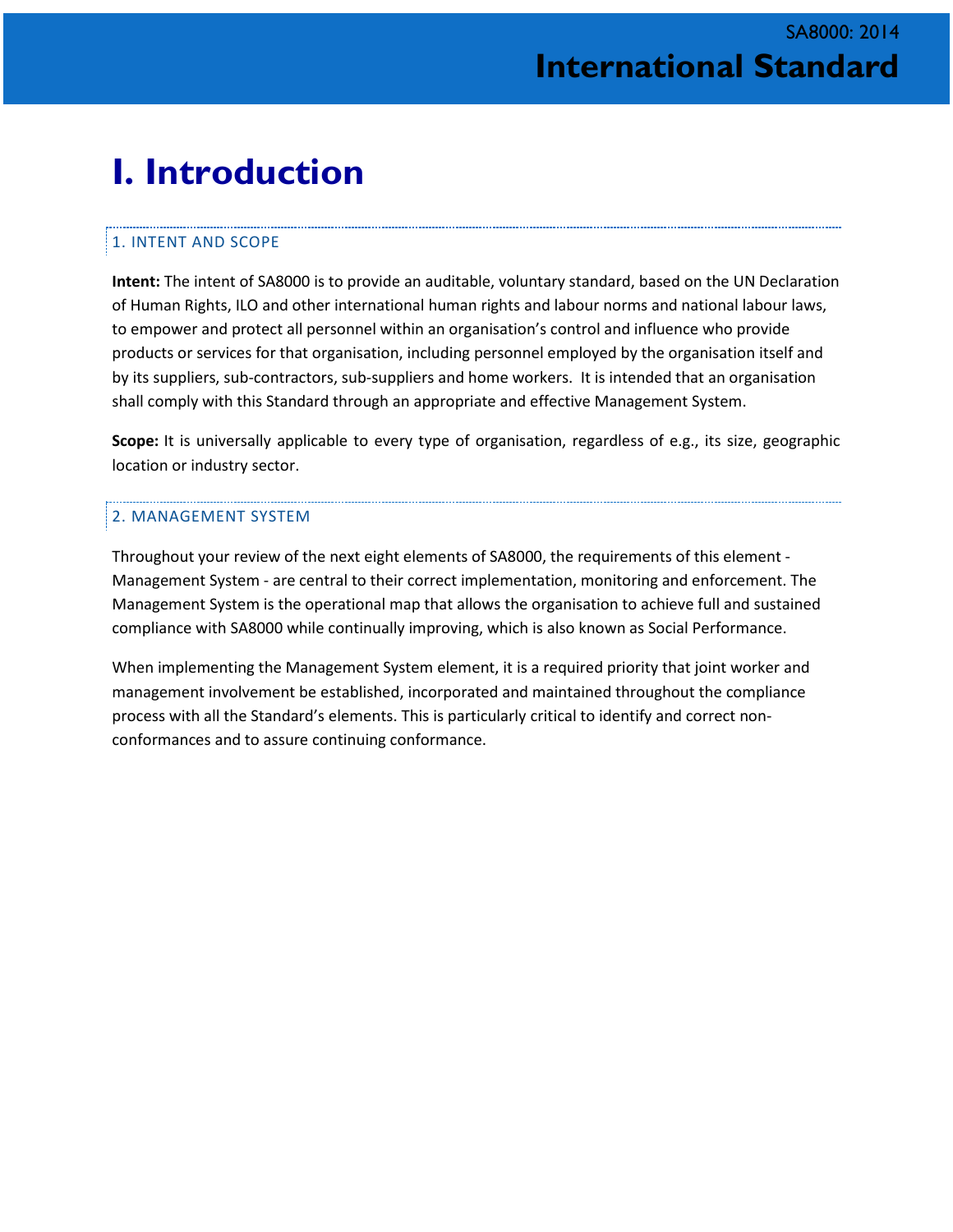## **I. Introduction**

#### 1. INTENT AND SCOPE

**Intent:** The intent of SA8000 is to provide an auditable, voluntary standard, based on the UN Declaration of Human Rights, ILO and other international human rights and labour norms and national labour laws, to empower and protect all personnel within an organisation's control and influence who provide products or services for that organisation, including personnel employed by the organisation itself and by its suppliers, sub-contractors, sub-suppliers and home workers. It is intended that an organisation shall comply with this Standard through an appropriate and effective Management System.

**Scope:** It is universally applicable to every type of organisation, regardless of e.g., its size, geographic location or industry sector.

#### 2. MANAGEMENT SYSTEM

Throughout your review of the next eight elements of SA8000, the requirements of this element - Management System - are central to their correct implementation, monitoring and enforcement. The Management System is the operational map that allows the organisation to achieve full and sustained compliance with SA8000 while continually improving, which is also known as Social Performance.

When implementing the Management System element, it is a required priority that joint worker and management involvement be established, incorporated and maintained throughout the compliance process with all the Standard's elements. This is particularly critical to identify and correct nonconformances and to assure continuing conformance.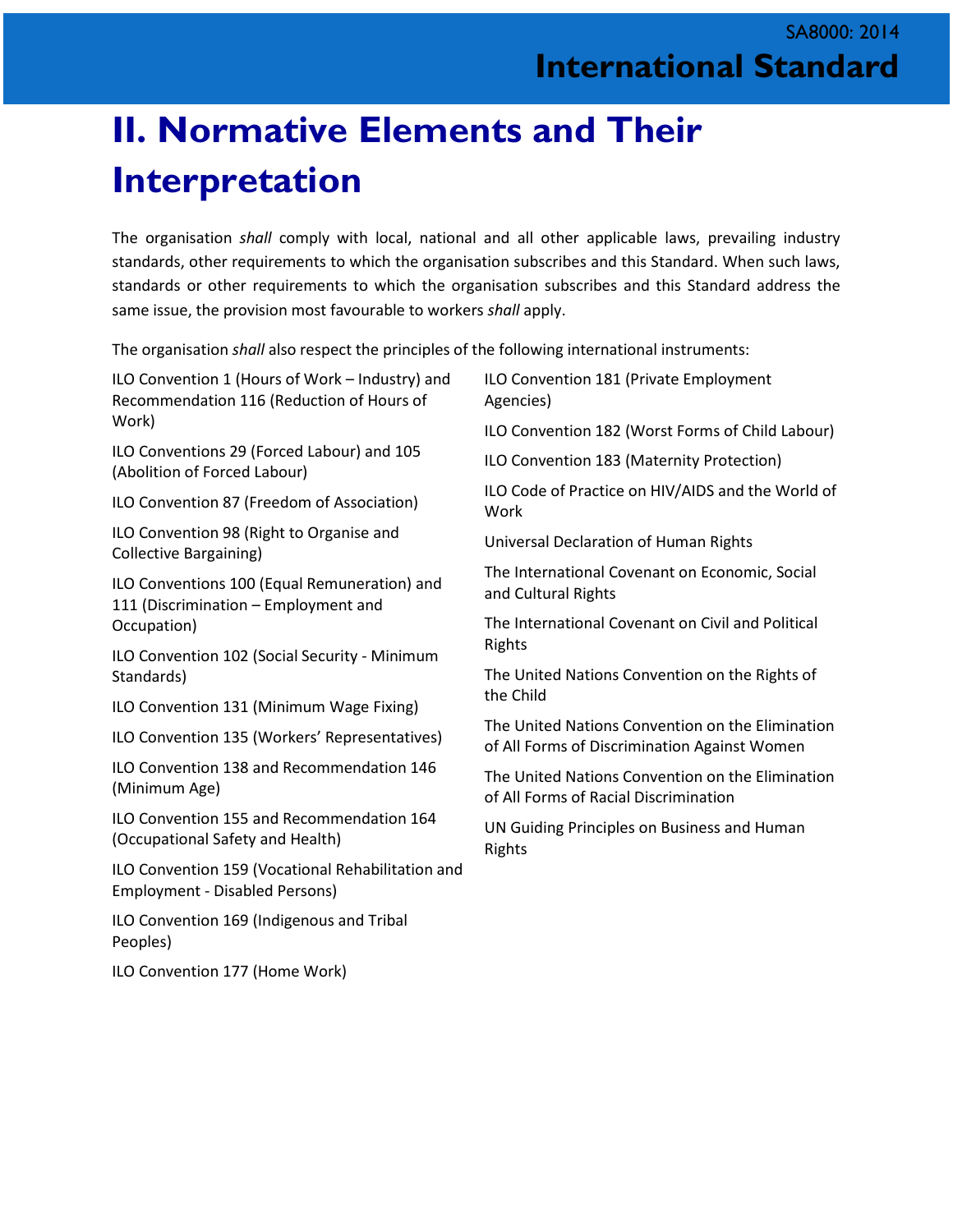# **II. Normative Elements and Their Interpretation**

The organisation *shall* comply with local, national and all other applicable laws, prevailing industry standards, other requirements to which the organisation subscribes and this Standard. When such laws, standards or other requirements to which the organisation subscribes and this Standard address the same issue, the provision most favourable to workers *shall* apply.

The organisation *shall* also respect the principles of the following international instruments:

| ILO Convention 1 (Hours of Work - Industry) and<br>Recommendation 116 (Reduction of Hours of | ILO Convention 181 (Private Employment<br>Agencies)                                              |
|----------------------------------------------------------------------------------------------|--------------------------------------------------------------------------------------------------|
| Work)                                                                                        | ILO Convention 182 (Worst Forms of Child Labour)                                                 |
| ILO Conventions 29 (Forced Labour) and 105<br>(Abolition of Forced Labour)                   | ILO Convention 183 (Maternity Protection)                                                        |
| ILO Convention 87 (Freedom of Association)                                                   | ILO Code of Practice on HIV/AIDS and the World of<br>Work                                        |
| ILO Convention 98 (Right to Organise and<br><b>Collective Bargaining)</b>                    | Universal Declaration of Human Rights                                                            |
| ILO Conventions 100 (Equal Remuneration) and<br>111 (Discrimination - Employment and         | The International Covenant on Economic, Social<br>and Cultural Rights                            |
| Occupation)                                                                                  | The International Covenant on Civil and Political<br>Rights                                      |
| ILO Convention 102 (Social Security - Minimum                                                |                                                                                                  |
| Standards)                                                                                   | The United Nations Convention on the Rights of<br>the Child                                      |
| ILO Convention 131 (Minimum Wage Fixing)                                                     |                                                                                                  |
| ILO Convention 135 (Workers' Representatives)                                                | The United Nations Convention on the Elimination<br>of All Forms of Discrimination Against Women |
| ILO Convention 138 and Recommendation 146<br>(Minimum Age)                                   | The United Nations Convention on the Elimination<br>of All Forms of Racial Discrimination        |
| ILO Convention 155 and Recommendation 164<br>(Occupational Safety and Health)                | UN Guiding Principles on Business and Human<br>Rights                                            |
| ILO Convention 159 (Vocational Rehabilitation and                                            |                                                                                                  |

Employment - Disabled Persons)

ILO Convention 177 (Home Work)

Peoples)

ILO Convention 169 (Indigenous and Tribal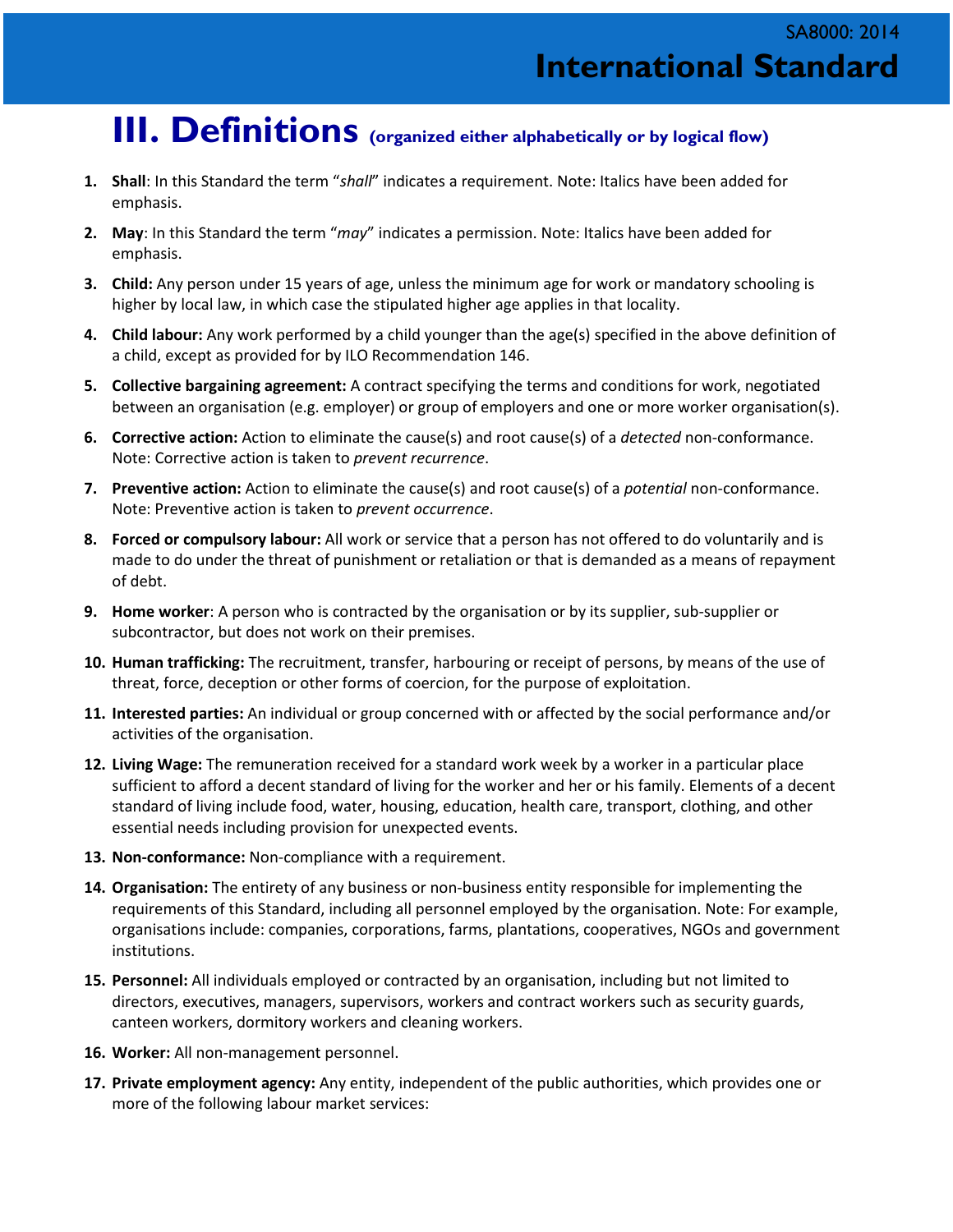### **III. Definitions (organized either alphabetically or by logical flow)**

- **1. Shall**: In this Standard the term "*shall*" indicates a requirement. Note: Italics have been added for emphasis.
- **2. May**: In this Standard the term "*may*" indicates a permission. Note: Italics have been added for emphasis.
- **3. Child:** Any person under 15 years of age, unless the minimum age for work or mandatory schooling is higher by local law, in which case the stipulated higher age applies in that locality.
- **4. Child labour:** Any work performed by a child younger than the age(s) specified in the above definition of a child, except as provided for by ILO Recommendation 146.
- **5. Collective bargaining agreement:** A contract specifying the terms and conditions for work, negotiated between an organisation (e.g. employer) or group of employers and one or more worker organisation(s).
- **6. Corrective action:** Action to eliminate the cause(s) and root cause(s) of a *detected* non-conformance. Note: Corrective action is taken to *prevent recurrence*.
- **7. Preventive action:** Action to eliminate the cause(s) and root cause(s) of a *potential* non-conformance. Note: Preventive action is taken to *prevent occurrence*.
- **8. Forced or compulsory labour:** All work or service that a person has not offered to do voluntarily and is made to do under the threat of punishment or retaliation or that is demanded as a means of repayment of debt.
- **9. Home worker**: A person who is contracted by the organisation or by its supplier, sub-supplier or subcontractor, but does not work on their premises.
- **10. Human trafficking:** The recruitment, transfer, harbouring or receipt of persons, by means of the use of threat, force, deception or other forms of coercion, for the purpose of exploitation.
- **11. Interested parties:** An individual or group concerned with or affected by the social performance and/or activities of the organisation.
- **12. Living Wage:** The remuneration received for a standard work week by a worker in a particular place sufficient to afford a decent standard of living for the worker and her or his family. Elements of a decent standard of living include food, water, housing, education, health care, transport, clothing, and other essential needs including provision for unexpected events.
- **13. Non-conformance:** Non-compliance with a requirement.
- **14. Organisation:** The entirety of any business or non-business entity responsible for implementing the requirements of this Standard, including all personnel employed by the organisation. Note: For example, organisations include: companies, corporations, farms, plantations, cooperatives, NGOs and government institutions.
- **15. Personnel:** All individuals employed or contracted by an organisation, including but not limited to directors, executives, managers, supervisors, workers and contract workers such as security guards, canteen workers, dormitory workers and cleaning workers.
- **16. Worker:** All non-management personnel.
- **17. Private employment agency:** Any entity, independent of the public authorities, which provides one or more of the following labour market services: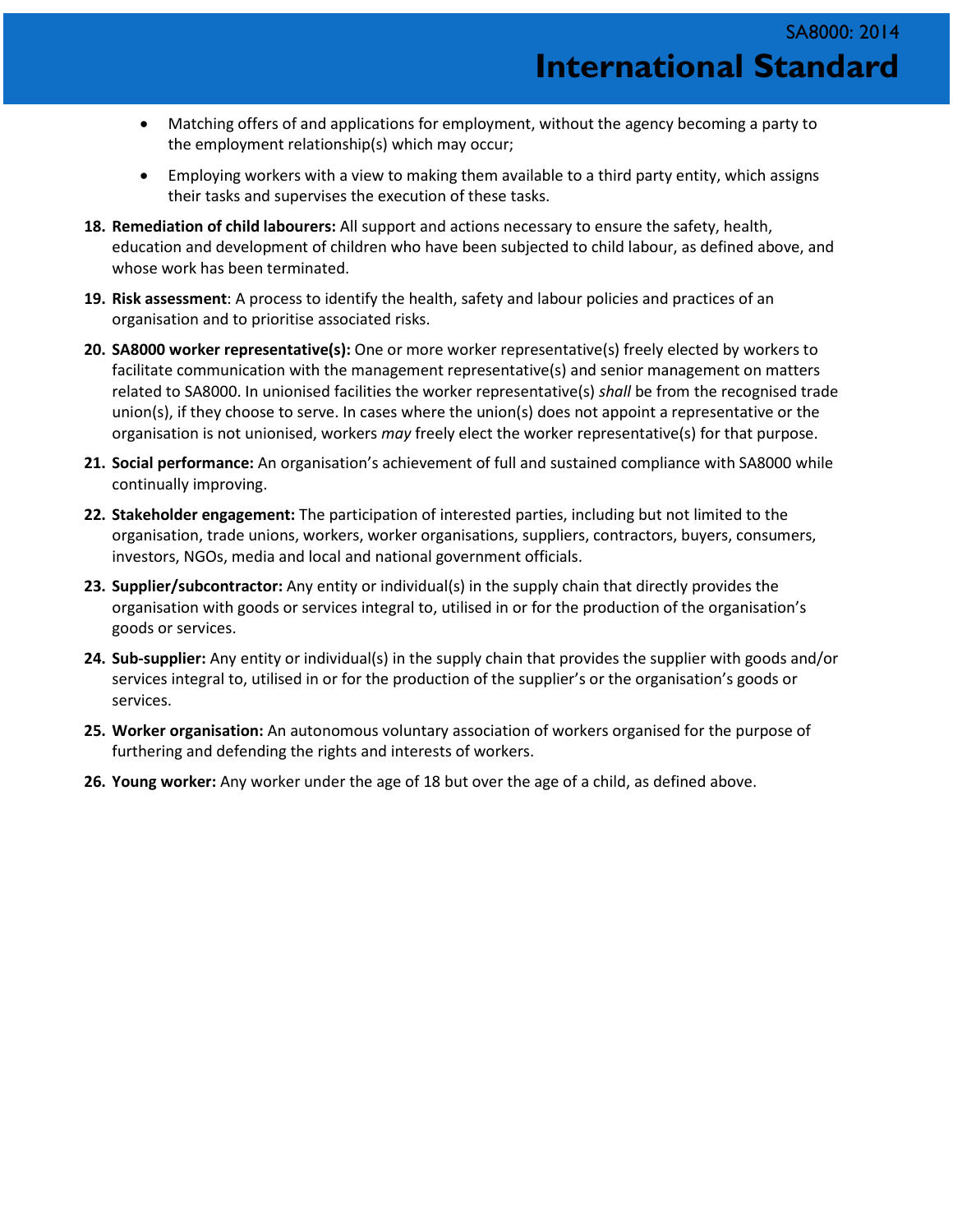- Matching offers of and applications for employment, without the agency becoming a party to the employment relationship(s) which may occur;
- Employing workers with a view to making them available to a third party entity, which assigns their tasks and supervises the execution of these tasks.
- **18. Remediation of child labourers:** All support and actions necessary to ensure the safety, health, education and development of children who have been subjected to child labour, as defined above, and whose work has been terminated.
- **19. Risk assessment**: A process to identify the health, safety and labour policies and practices of an organisation and to prioritise associated risks.
- **20. SA8000 worker representative(s):** One or more worker representative(s) freely elected by workers to facilitate communication with the management representative(s) and senior management on matters related to SA8000. In unionised facilities the worker representative(s) *shall* be from the recognised trade union(s), if they choose to serve. In cases where the union(s) does not appoint a representative or the organisation is not unionised, workers *may* freely elect the worker representative(s) for that purpose.
- **21. Social performance:** An organisation's achievement of full and sustained compliance with SA8000 while continually improving.
- **22. Stakeholder engagement:** The participation of interested parties, including but not limited to the organisation, trade unions, workers, worker organisations, suppliers, contractors, buyers, consumers, investors, NGOs, media and local and national government officials.
- **23. Supplier/subcontractor:** Any entity or individual(s) in the supply chain that directly provides the organisation with goods or services integral to, utilised in or for the production of the organisation's goods or services.
- **24. Sub-supplier:** Any entity or individual(s) in the supply chain that provides the supplier with goods and/or services integral to, utilised in or for the production of the supplier's or the organisation's goods or services.
- **25. Worker organisation:** An autonomous voluntary association of workers organised for the purpose of furthering and defending the rights and interests of workers.
- **26. Young worker:** Any worker under the age of 18 but over the age of a child, as defined above.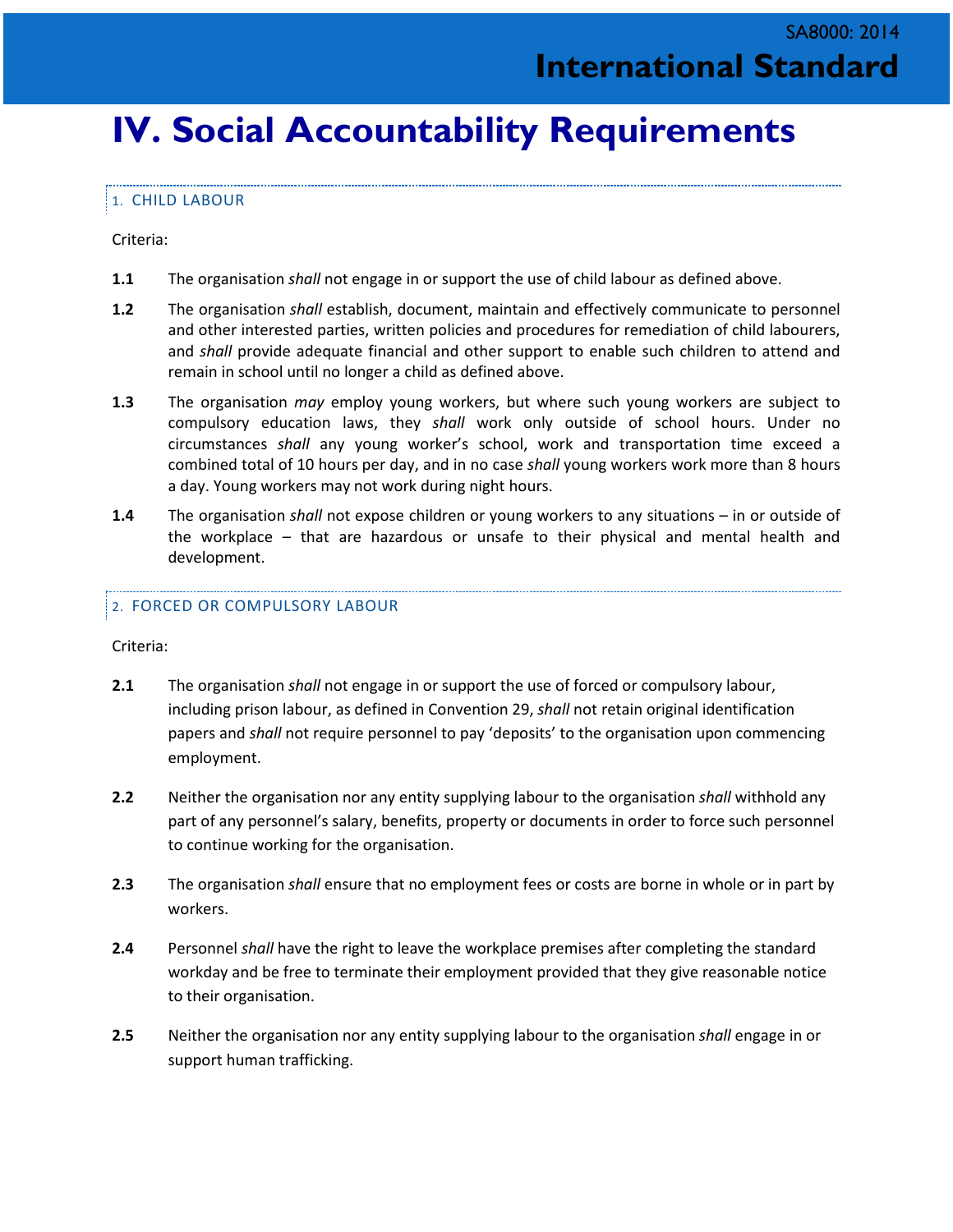### **IV. Social Accountability Requirements**

#### 1. CHILD LABOUR

Criteria:

- **1.1** The organisation *shall* not engage in or support the use of child labour as defined above.
- **1.2** The organisation *shall* establish, document, maintain and effectively communicate to personnel and other interested parties, written policies and procedures for remediation of child labourers, and *shall* provide adequate financial and other support to enable such children to attend and remain in school until no longer a child as defined above.
- **1.3** The organisation *may* employ young workers, but where such young workers are subject to compulsory education laws, they *shall* work only outside of school hours. Under no circumstances *shall* any young worker's school, work and transportation time exceed a combined total of 10 hours per day, and in no case *shall* young workers work more than 8 hours a day. Young workers may not work during night hours.
- **1.4** The organisation *shall* not expose children or young workers to any situations in or outside of the workplace – that are hazardous or unsafe to their physical and mental health and development.

#### 2. FORCED OR COMPULSORY LABOUR

Criteria:

- **2.1** The organisation *shall* not engage in or support the use of forced or compulsory labour, including prison labour, as defined in Convention 29, *shall* not retain original identification papers and *shall* not require personnel to pay 'deposits' to the organisation upon commencing employment.
- **2.2** Neither the organisation nor any entity supplying labour to the organisation *shall* withhold any part of any personnel's salary, benefits, property or documents in order to force such personnel to continue working for the organisation.
- **2.3** The organisation *shall* ensure that no employment fees or costs are borne in whole or in part by workers.
- **2.4** Personnel *shall* have the right to leave the workplace premises after completing the standard workday and be free to terminate their employment provided that they give reasonable notice to their organisation.
- **2.5** Neither the organisation nor any entity supplying labour to the organisation *shall* engage in or support human trafficking.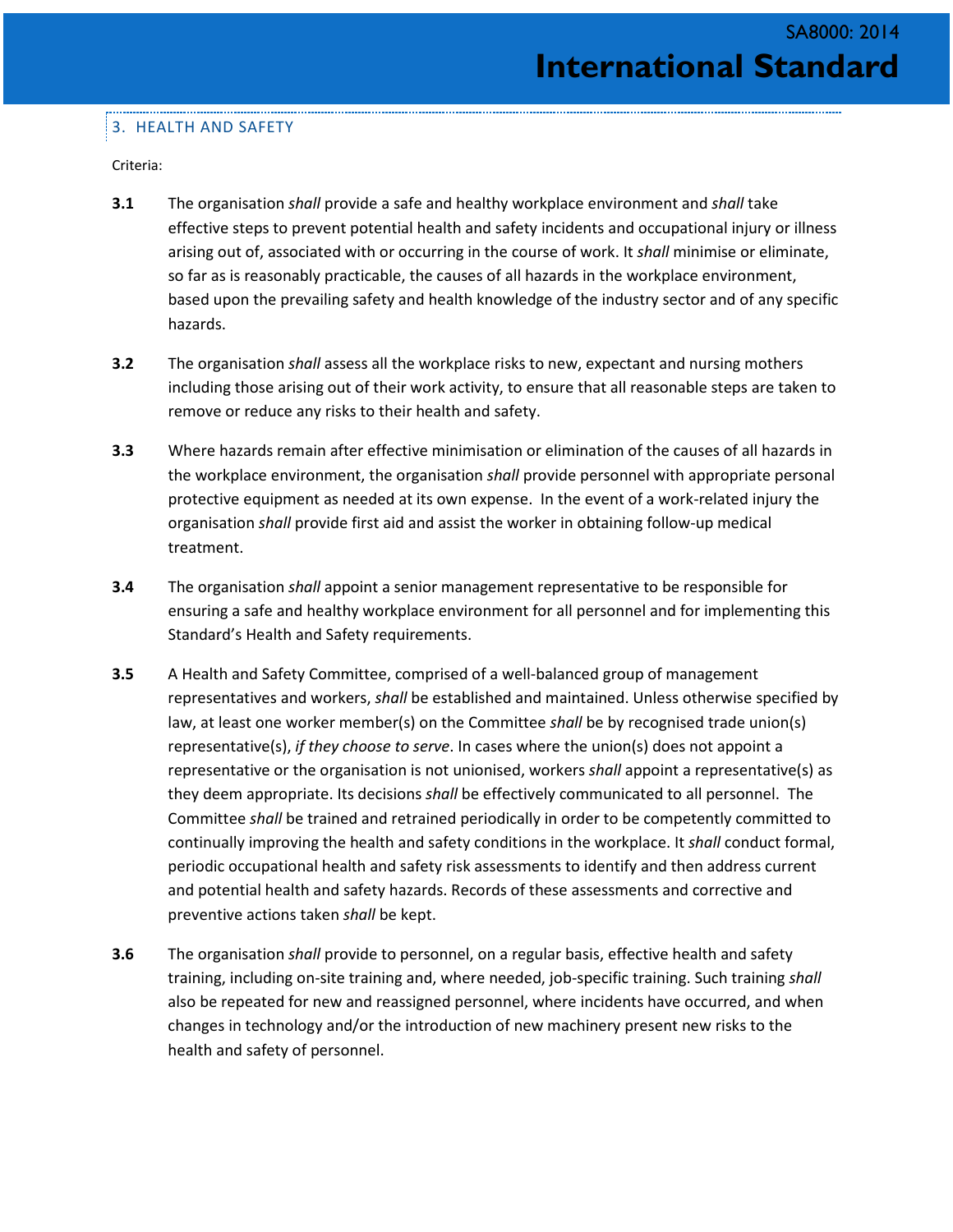#### 3. HEALTH AND SAFETY

Criteria:

- **3.1** The organisation *shall* provide a safe and healthy workplace environment and *shall* take effective steps to prevent potential health and safety incidents and occupational injury or illness arising out of, associated with or occurring in the course of work. It *shall* minimise or eliminate, so far as is reasonably practicable, the causes of all hazards in the workplace environment, based upon the prevailing safety and health knowledge of the industry sector and of any specific hazards.
- **3.2** The organisation *shall* assess all the workplace risks to new, expectant and nursing mothers including those arising out of their work activity, to ensure that all reasonable steps are taken to remove or reduce any risks to their health and safety.
- **3.3** Where hazards remain after effective minimisation or elimination of the causes of all hazards in the workplace environment, the organisation *shall* provide personnel with appropriate personal protective equipment as needed at its own expense. In the event of a work-related injury the organisation *shall* provide first aid and assist the worker in obtaining follow-up medical treatment.
- **3.4** The organisation *shall* appoint a senior management representative to be responsible for ensuring a safe and healthy workplace environment for all personnel and for implementing this Standard's Health and Safety requirements.
- **3.5** A Health and Safety Committee, comprised of a well-balanced group of management representatives and workers, *shall* be established and maintained. Unless otherwise specified by law, at least one worker member(s) on the Committee *shall* be by recognised trade union(s) representative(s), *if they choose to serve*. In cases where the union(s) does not appoint a representative or the organisation is not unionised, workers *shall* appoint a representative(s) as they deem appropriate. Its decisions *shall* be effectively communicated to all personnel. The Committee *shall* be trained and retrained periodically in order to be competently committed to continually improving the health and safety conditions in the workplace. It *shall* conduct formal, periodic occupational health and safety risk assessments to identify and then address current and potential health and safety hazards. Records of these assessments and corrective and preventive actions taken *shall* be kept.
- **3.6** The organisation *shall* provide to personnel, on a regular basis, effective health and safety training, including on-site training and, where needed, job-specific training. Such training *shall* also be repeated for new and reassigned personnel, where incidents have occurred, and when changes in technology and/or the introduction of new machinery present new risks to the health and safety of personnel.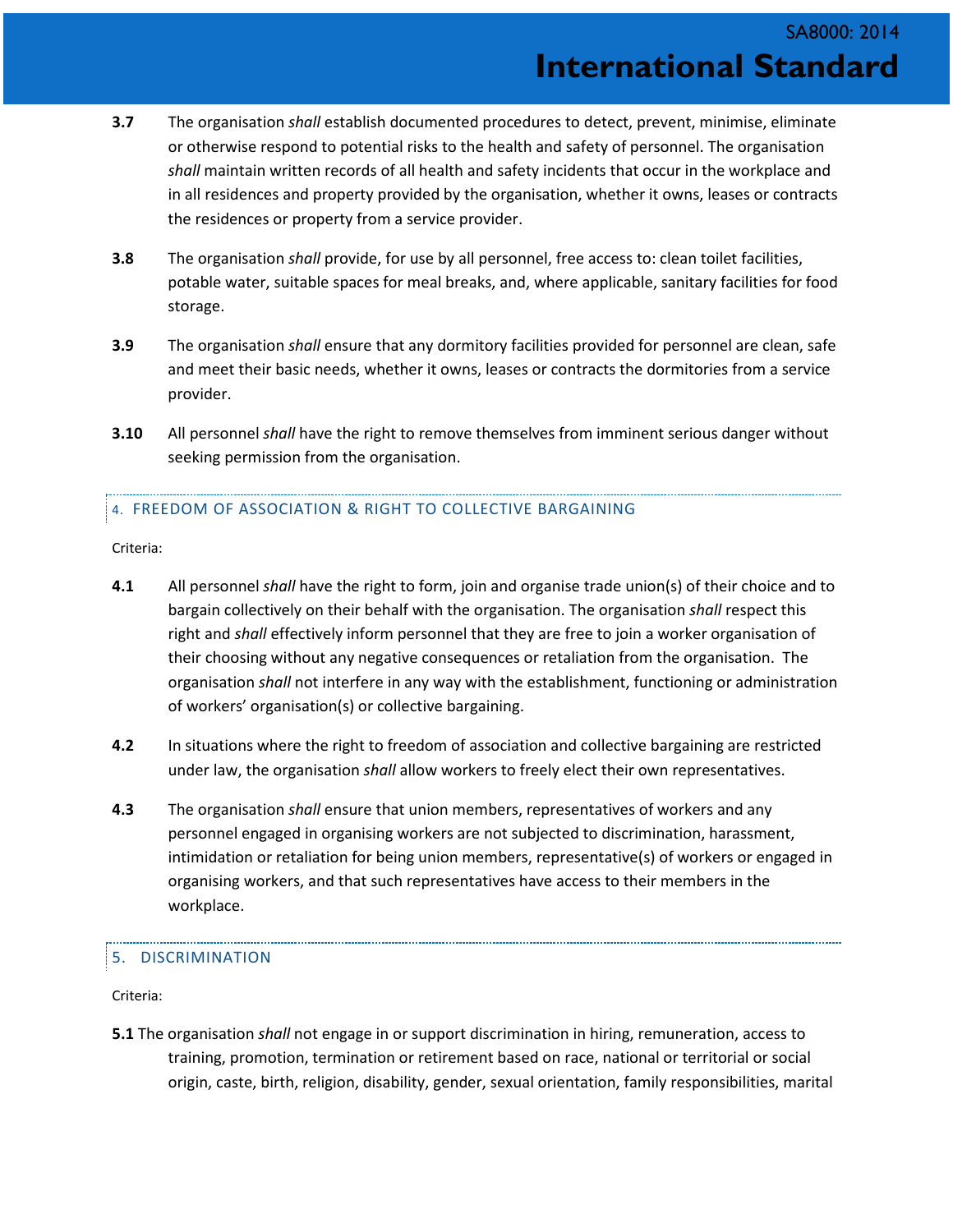- **3.7** The organisation *shall* establish documented procedures to detect, prevent, minimise, eliminate or otherwise respond to potential risks to the health and safety of personnel. The organisation *shall* maintain written records of all health and safety incidents that occur in the workplace and in all residences and property provided by the organisation, whether it owns, leases or contracts the residences or property from a service provider.
- **3.8** The organisation *shall* provide, for use by all personnel, free access to: clean toilet facilities, potable water, suitable spaces for meal breaks, and, where applicable, sanitary facilities for food storage.
- **3.9** The organisation *shall* ensure that any dormitory facilities provided for personnel are clean, safe and meet their basic needs, whether it owns, leases or contracts the dormitories from a service provider.
- **3.10** All personnel *shall* have the right to remove themselves from imminent serious danger without seeking permission from the organisation.

#### 4. FREEDOM OF ASSOCIATION & RIGHT TO COLLECTIVE BARGAINING

Criteria:

- **4.1** All personnel *shall* have the right to form, join and organise trade union(s) of their choice and to bargain collectively on their behalf with the organisation. The organisation *shall* respect this right and *shall* effectively inform personnel that they are free to join a worker organisation of their choosing without any negative consequences or retaliation from the organisation. The organisation *shall* not interfere in any way with the establishment, functioning or administration of workers' organisation(s) or collective bargaining.
- **4.2** In situations where the right to freedom of association and collective bargaining are restricted under law, the organisation *shall* allow workers to freely elect their own representatives.
- **4.3** The organisation *shall* ensure that union members, representatives of workers and any personnel engaged in organising workers are not subjected to discrimination, harassment, intimidation or retaliation for being union members, representative(s) of workers or engaged in organising workers, and that such representatives have access to their members in the workplace.

#### 5. DISCRIMINATION

Criteria:

**5.1** The organisation *shall* not engage in or support discrimination in hiring, remuneration, access to training, promotion, termination or retirement based on race, national or territorial or social origin, caste, birth, religion, disability, gender, sexual orientation, family responsibilities, marital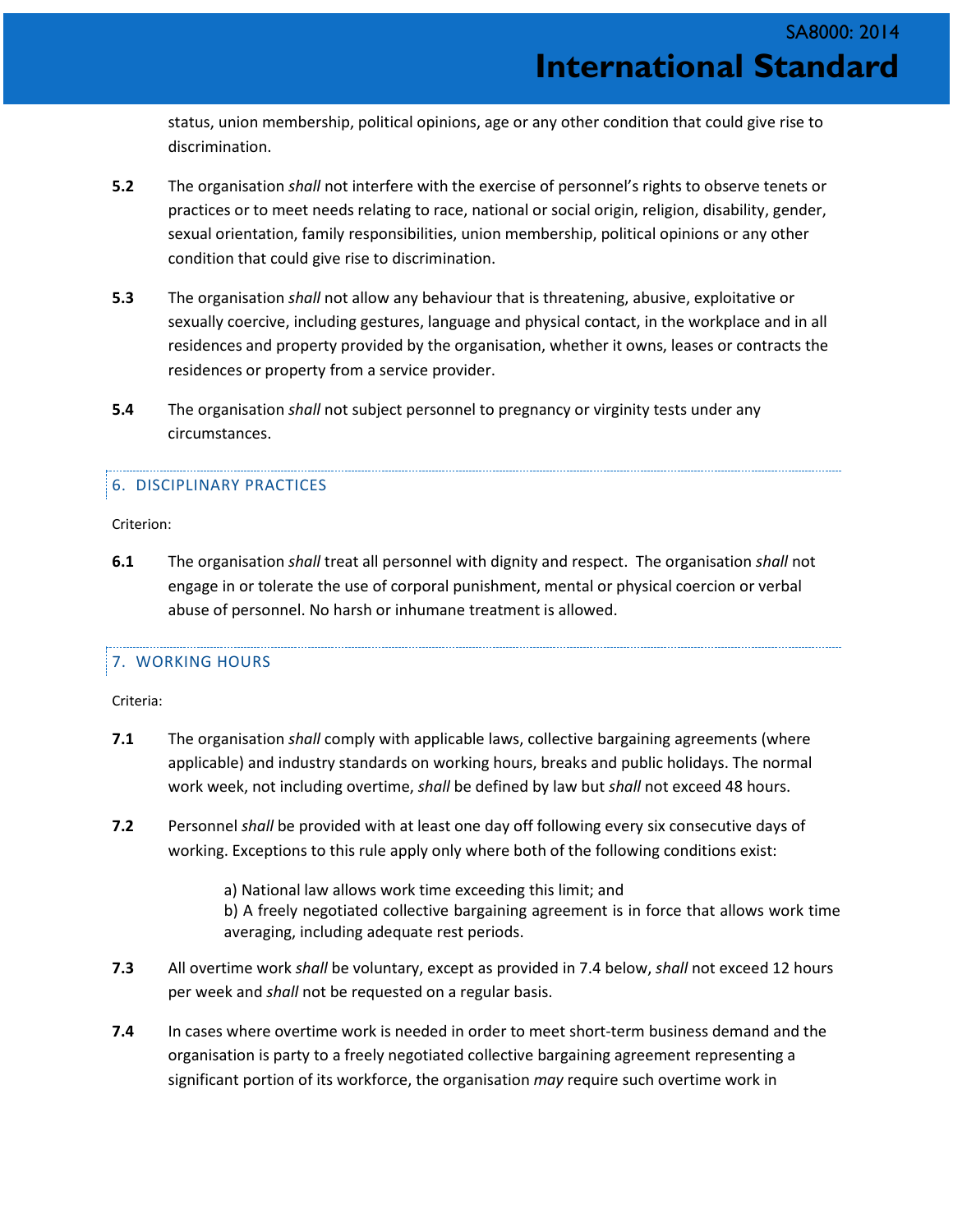status, union membership, political opinions, age or any other condition that could give rise to discrimination.

- **5.2** The organisation *shall* not interfere with the exercise of personnel's rights to observe tenets or practices or to meet needs relating to race, national or social origin, religion, disability, gender, sexual orientation, family responsibilities, union membership, political opinions or any other condition that could give rise to discrimination.
- **5.3** The organisation *shall* not allow any behaviour that is threatening, abusive, exploitative or sexually coercive, including gestures, language and physical contact, in the workplace and in all residences and property provided by the organisation, whether it owns, leases or contracts the residences or property from a service provider.
- **5.4** The organisation *shall* not subject personnel to pregnancy or virginity tests under any circumstances.

#### 6. DISCIPLINARY PRACTICES

Criterion:

**6.1** The organisation *shall* treat all personnel with dignity and respect. The organisation *shall* not engage in or tolerate the use of corporal punishment, mental or physical coercion or verbal abuse of personnel. No harsh or inhumane treatment is allowed.

#### 7. WORKING HOURS

Criteria:

- **7.1** The organisation *shall* comply with applicable laws, collective bargaining agreements (where applicable) and industry standards on working hours, breaks and public holidays. The normal work week, not including overtime, *shall* be defined by law but *shall* not exceed 48 hours.
- **7.2** Personnel *shall* be provided with at least one day off following every six consecutive days of working. Exceptions to this rule apply only where both of the following conditions exist:
	- a) National law allows work time exceeding this limit; and
	- b) A freely negotiated collective bargaining agreement is in force that allows work time averaging, including adequate rest periods.
- **7.3** All overtime work *shall* be voluntary, except as provided in 7.4 below, *shall* not exceed 12 hours per week and *shall* not be requested on a regular basis.
- **7.4** In cases where overtime work is needed in order to meet short-term business demand and the organisation is party to a freely negotiated collective bargaining agreement representing a significant portion of its workforce, the organisation *may* require such overtime work in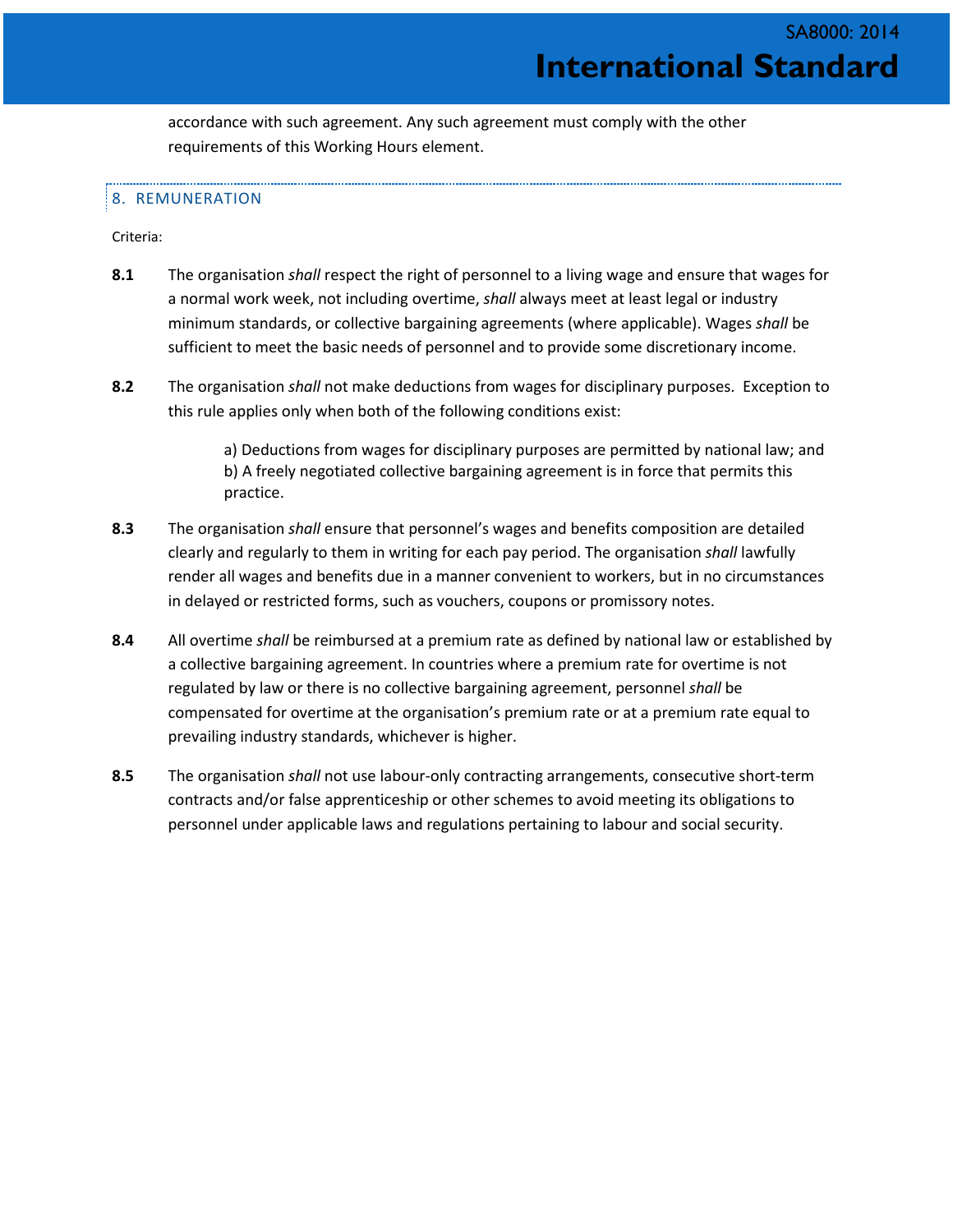accordance with such agreement. Any such agreement must comply with the other requirements of this Working Hours element.

#### 8. REMUNERATION

Criteria:

- **8.1** The organisation *shall* respect the right of personnel to a living wage and ensure that wages for a normal work week, not including overtime, *shall* always meet at least legal or industry minimum standards, or collective bargaining agreements (where applicable). Wages *shall* be sufficient to meet the basic needs of personnel and to provide some discretionary income.
- **8.2** The organisation *shall* not make deductions from wages for disciplinary purposes. Exception to this rule applies only when both of the following conditions exist:

a) Deductions from wages for disciplinary purposes are permitted by national law; and b) A freely negotiated collective bargaining agreement is in force that permits this practice.

- **8.3** The organisation *shall* ensure that personnel's wages and benefits composition are detailed clearly and regularly to them in writing for each pay period. The organisation *shall* lawfully render all wages and benefits due in a manner convenient to workers, but in no circumstances in delayed or restricted forms, such as vouchers, coupons or promissory notes.
- **8.4** All overtime *shall* be reimbursed at a premium rate as defined by national law or established by a collective bargaining agreement. In countries where a premium rate for overtime is not regulated by law or there is no collective bargaining agreement, personnel *shall* be compensated for overtime at the organisation's premium rate or at a premium rate equal to prevailing industry standards, whichever is higher.
- **8.5** The organisation *shall* not use labour-only contracting arrangements, consecutive short-term contracts and/or false apprenticeship or other schemes to avoid meeting its obligations to personnel under applicable laws and regulations pertaining to labour and social security.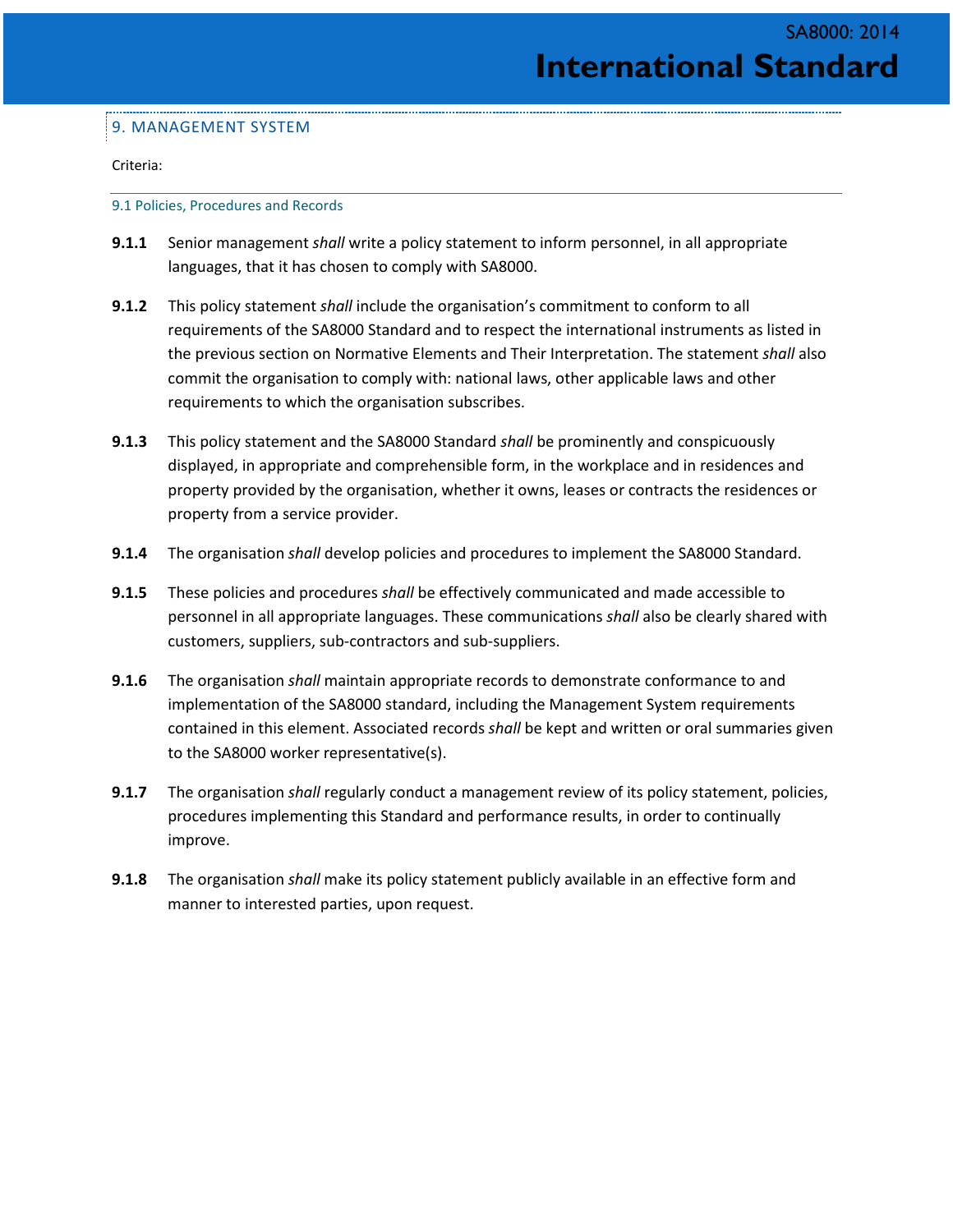#### 9. MANAGEMENT SYSTEM

Criteria:

9.1 Policies, Procedures and Records

- **9.1.1** Senior management *shall* write a policy statement to inform personnel, in all appropriate languages, that it has chosen to comply with SA8000.
- **9.1.2** This policy statement *shall* include the organisation's commitment to conform to all requirements of the SA8000 Standard and to respect the international instruments as listed in the previous section on Normative Elements and Their Interpretation. The statement *shall* also commit the organisation to comply with: national laws, other applicable laws and other requirements to which the organisation subscribes.
- **9.1.3** This policy statement and the SA8000 Standard *shall* be prominently and conspicuously displayed, in appropriate and comprehensible form, in the workplace and in residences and property provided by the organisation, whether it owns, leases or contracts the residences or property from a service provider.
- **9.1.4** The organisation *shall* develop policies and procedures to implement the SA8000 Standard.
- **9.1.5** These policies and procedures *shall* be effectively communicated and made accessible to personnel in all appropriate languages. These communications *shall* also be clearly shared with customers, suppliers, sub-contractors and sub-suppliers.
- **9.1.6** The organisation *shall* maintain appropriate records to demonstrate conformance to and implementation of the SA8000 standard, including the Management System requirements contained in this element. Associated records *shall* be kept and written or oral summaries given to the SA8000 worker representative(s).
- **9.1.7** The organisation *shall* regularly conduct a management review of its policy statement, policies, procedures implementing this Standard and performance results, in order to continually improve.
- **9.1.8** The organisation *shall* make its policy statement publicly available in an effective form and manner to interested parties, upon request.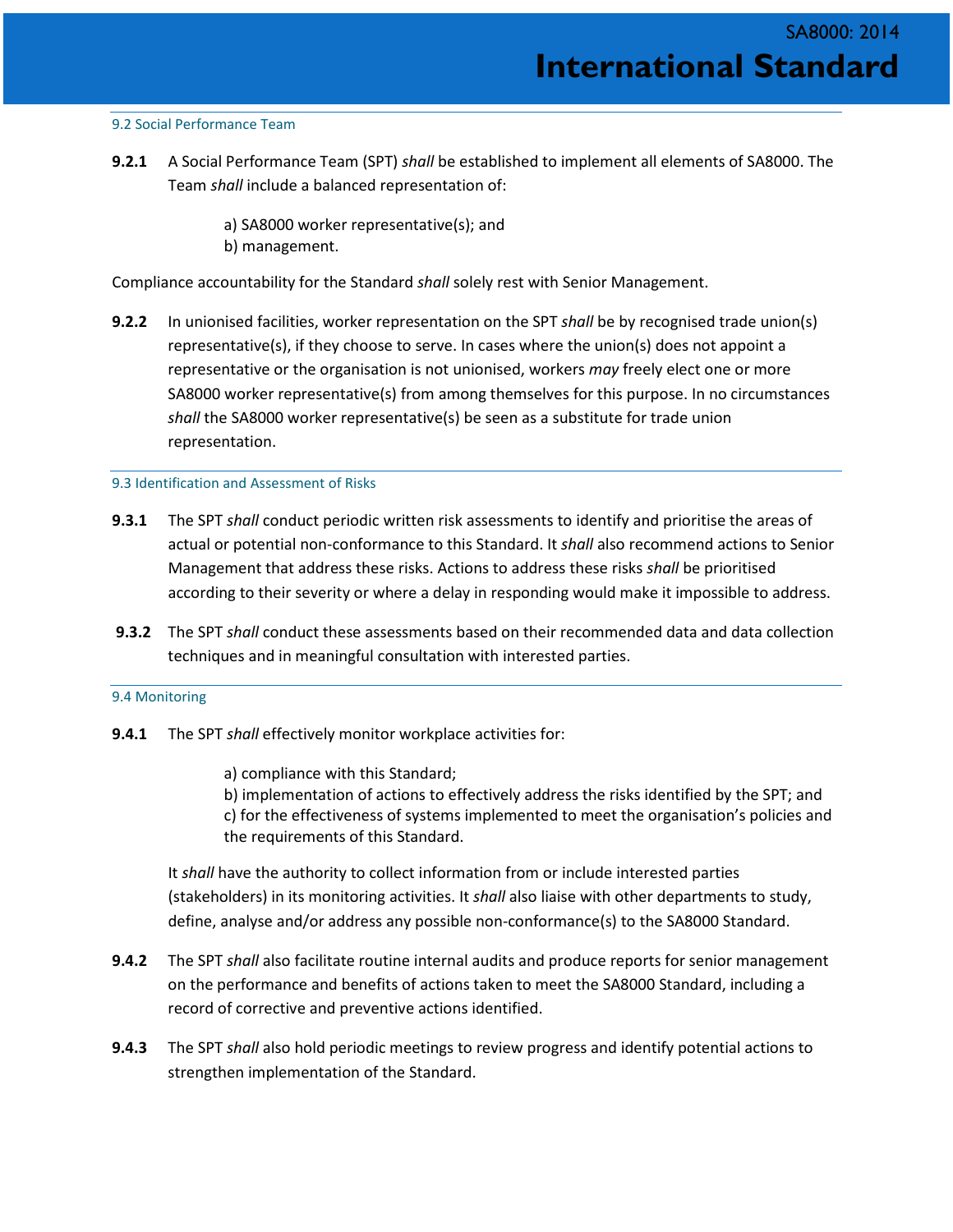#### 9.2 Social Performance Team

**9.2.1** A Social Performance Team (SPT) *shall* be established to implement all elements of SA8000. The Team *shall* include a balanced representation of:

> a) SA8000 worker representative(s); and b) management.

Compliance accountability for the Standard *shall* solely rest with Senior Management.

**9.2.2** In unionised facilities, worker representation on the SPT *shall* be by recognised trade union(s) representative(s), if they choose to serve. In cases where the union(s) does not appoint a representative or the organisation is not unionised, workers *may* freely elect one or more SA8000 worker representative(s) from among themselves for this purpose. In no circumstances *shall* the SA8000 worker representative(s) be seen as a substitute for trade union representation.

#### 9.3 Identification and Assessment of Risks

- **9.3.1** The SPT *shall* conduct periodic written risk assessments to identify and prioritise the areas of actual or potential non-conformance to this Standard. It *shall* also recommend actions to Senior Management that address these risks. Actions to address these risks *shall* be prioritised according to their severity or where a delay in responding would make it impossible to address.
- **9.3.2** The SPT *shall* conduct these assessments based on their recommended data and data collection techniques and in meaningful consultation with interested parties.

#### 9.4 Monitoring

- **9.4.1** The SPT *shall* effectively monitor workplace activities for:
	- a) compliance with this Standard;

b) implementation of actions to effectively address the risks identified by the SPT; and c) for the effectiveness of systems implemented to meet the organisation's policies and the requirements of this Standard.

It *shall* have the authority to collect information from or include interested parties (stakeholders) in its monitoring activities. It *shall* also liaise with other departments to study, define, analyse and/or address any possible non-conformance(s) to the SA8000 Standard.

- **9.4.2** The SPT *shall* also facilitate routine internal audits and produce reports for senior management on the performance and benefits of actions taken to meet the SA8000 Standard, including a record of corrective and preventive actions identified.
- **9.4.3** The SPT *shall* also hold periodic meetings to review progress and identify potential actions to strengthen implementation of the Standard.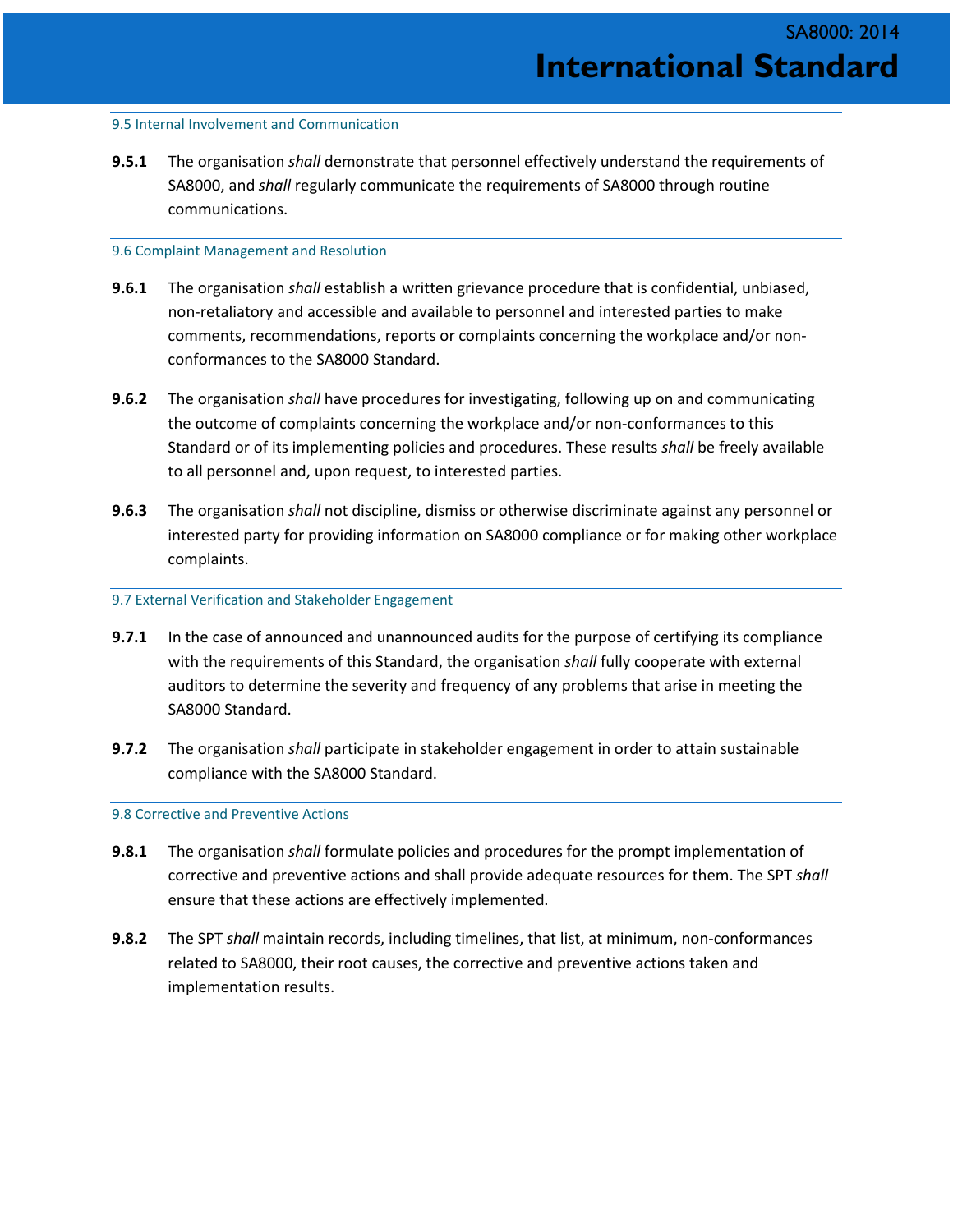#### 9.5 Internal Involvement and Communication

**9.5.1** The organisation *shall* demonstrate that personnel effectively understand the requirements of SA8000, and *shall* regularly communicate the requirements of SA8000 through routine communications.

#### 9.6 Complaint Management and Resolution

- **9.6.1** The organisation *shall* establish a written grievance procedure that is confidential, unbiased, non-retaliatory and accessible and available to personnel and interested parties to make comments, recommendations, reports or complaints concerning the workplace and/or nonconformances to the SA8000 Standard.
- **9.6.2** The organisation *shall* have procedures for investigating, following up on and communicating the outcome of complaints concerning the workplace and/or non-conformances to this Standard or of its implementing policies and procedures. These results *shall* be freely available to all personnel and, upon request, to interested parties.
- **9.6.3** The organisation *shall* not discipline, dismiss or otherwise discriminate against any personnel or interested party for providing information on SA8000 compliance or for making other workplace complaints.

#### 9.7 External Verification and Stakeholder Engagement

- **9.7.1** In the case of announced and unannounced audits for the purpose of certifying its compliance with the requirements of this Standard, the organisation *shall* fully cooperate with external auditors to determine the severity and frequency of any problems that arise in meeting the SA8000 Standard.
- **9.7.2** The organisation *shall* participate in stakeholder engagement in order to attain sustainable compliance with the SA8000 Standard.

#### 9.8 Corrective and Preventive Actions

- **9.8.1** The organisation *shall* formulate policies and procedures for the prompt implementation of corrective and preventive actions and shall provide adequate resources for them. The SPT *shall* ensure that these actions are effectively implemented.
- **9.8.2** The SPT *shall* maintain records, including timelines, that list, at minimum, non-conformances related to SA8000, their root causes, the corrective and preventive actions taken and implementation results.